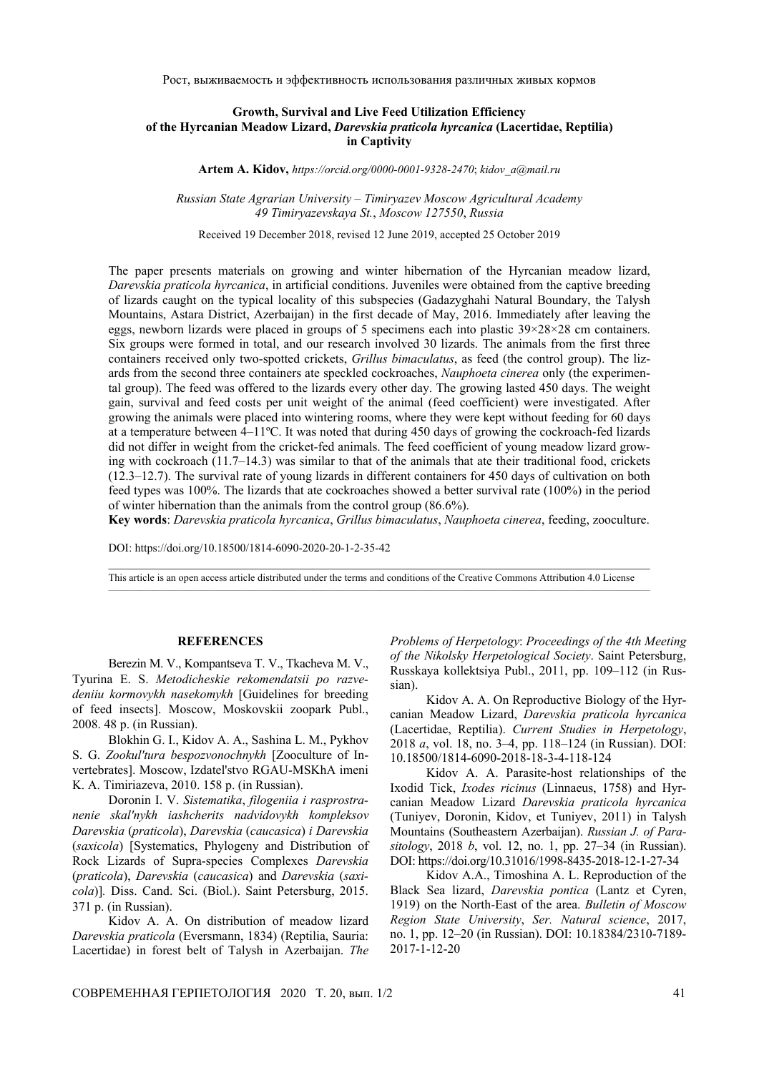Рост, выживаемость и эффективность использования различных живых кормов

## **Growth, Survival and Live Feed Utilization Efficiency of the Hyrcanian Meadow Lizard,** *Darevskia praticola hyrcanica* **(Lacertidae, Reptilia) in Captivity**

**Artem A. Kidov,** *https://orcid.org/0000-0001-9328-2470*; *kidov\_a@mail.ru*

*Russian State Agrarian University* – *Timiryazev Moscow Agricultural Academy 49 Timiryazevskaya St.*, *Moscow 127550*, *Russia* 

Received 19 December 2018, revised 12 June 2019, accepted 25 October 2019

The paper presents materials on growing and winter hibernation of the Hyrcanian meadow lizard, *Darevskia praticola hyrcanica*, in artificial conditions. Juveniles were obtained from the captive breeding of lizards caught on the typical locality of this subspecies (Gadazyghahi Natural Boundary, the Talysh Mountains, Astara District, Azerbaijan) in the first decade of May, 2016. Immediately after leaving the eggs, newborn lizards were placed in groups of 5 specimens each into plastic  $39 \times 28 \times 28$  cm containers. Six groups were formed in total, and our research involved 30 lizards. The animals from the first three containers received only two-spotted crickets, *Grillus bimaculatus*, as feed (the control group). The lizards from the second three containers ate speckled cockroaches, *Nauphoeta cinerea* only (the experimental group). The feed was offered to the lizards every other day. The growing lasted 450 days. The weight gain, survival and feed costs per unit weight of the animal (feed coefficient) were investigated. After growing the animals were placed into wintering rooms, where they were kept without feeding for 60 days at a temperature between 4–11ºC. It was noted that during 450 days of growing the cockroach-fed lizards did not differ in weight from the cricket-fed animals. The feed coefficient of young meadow lizard growing with cockroach (11.7–14.3) was similar to that of the animals that ate their traditional food, crickets (12.3–12.7). The survival rate of young lizards in different containers for 450 days of cultivation on both feed types was 100%. The lizards that ate cockroaches showed a better survival rate (100%) in the period of winter hibernation than the animals from the control group (86.6%).

**Key words**: *Darevskia praticola hyrcanica*, *Grillus bimaculatus*, *Nauphoeta cinerea*, feeding, zooculture.

DOI: https://doi.org/10.18500/1814-6090-2020-20-1-2-35-42

 $\_$  , and the state of the state of the state of the state of the state of the state of the state of the state of the state of the state of the state of the state of the state of the state of the state of the state of the This article is an open access article distributed under the terms and conditions of the Creative Commons Attribution 4.0 License

## **REFERENCES**

Berezin M. V., Kompantseva T. V., Tkacheva M. V., Tyurina E. S. *Metodicheskie rekomendatsii po razvedeniiu kormovykh nasekomykh* [Guidelines for breeding of feed insects]. Moscow, Moskovskii zoopark Publ., 2008. 48 p. (in Russian).

Blokhin G. I., Kidov A. A., Sashina L. M., Pykhov S. G. *Zookul'tura bespozvonochnykh* [Zooculture of Invertebrates]. Moscow, Izdatel'stvo RGAU-MSKhA imeni K. A. Timiriazeva, 2010. 158 p. (in Russian).

Doronin I. V. *Sistematika*, *filogeniia i rasprostranenie skal'nykh iashcherits nadvidovykh kompleksov Darevskia* (*praticola*), *Darevskia* (*caucasica*) *i Darevskia*  (*saxicola*) [Systematics, Phylogeny and Distribution of Rock Lizards of Supra-species Complexes *Darevskia* (*praticola*), *Darevskia* (*caucasica*) and *Darevskia* (*saxicola*)]*.* Diss. Cand. Sci. (Biol.). Saint Petersburg, 2015. 371 p. (in Russian).

Kidov A. A. On distribution of meadow lizard *Darevskia praticola* (Eversmann, 1834) (Reptilia, Sauria: Lacertidae) in forest belt of Talysh in Azerbaijan. *The*  *Problems of Herpetology*: *Proceedings of the 4th Meeting of the Nikolsky Herpetological Society*. Saint Petersburg, Russkaya kollektsiya Publ., 2011, pp. 109–112 (in Russian).

Kidov A. A. On Reproductive Biology of the Hyrcanian Meadow Lizard, *Darevskia praticola hyrcanica* (Lacertidae, Reptilia). *Current Studies in Herpetology*, 2018 *a*, vol. 18, no. 3–4, pp. 118–124 (in Russian). DOI: 10.18500/1814-6090-2018-18-3-4-118-124

Kidov A. A. Parasite-host relationships of the Ixodid Tick, *Ixodes ricinus* (Linnaeus, 1758) and Hyrcanian Meadow Lizard *Darevskia praticola hyrcanica*  (Tuniyev, Doronin, Kidov, et Tuniyev, 2011) in Talysh Mountains (Southeastern Azerbaijan). *Russian J. of Parasitology*, 2018 *b*, vol. 12, no. 1, pp. 27–34 (in Russian). DOI: https://doi.org/10.31016/1998-8435-2018-12-1-27-34

Kidov A.A., Timoshina A. L. Reproduction of the Black Sea lizard, *Darevskia pontica* (Lantz et Cyren, 1919) on the North-East of the area. *Bulletin of Moscow Region State University*, *Ser. Natural science*, 2017, no. 1, pp. 12–20 (in Russian). DOI: 10.18384/2310-7189- 2017-1-12-20